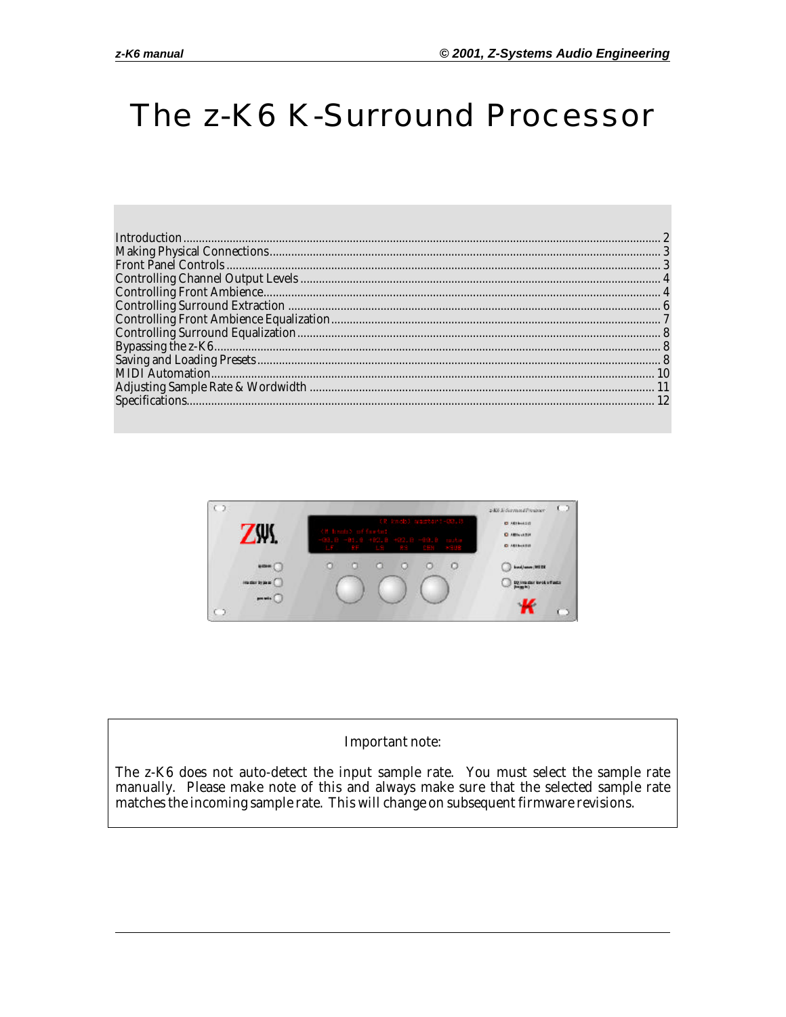## The z-K6 K-Surround Processor



#### **Important note:**

The z-K6 does not auto-detect the input sample rate. You must select the sample rate manually. Please make note of this and always make sure that the selected sample rate matches the incoming sample rate. This will change on subsequent firmware revisions.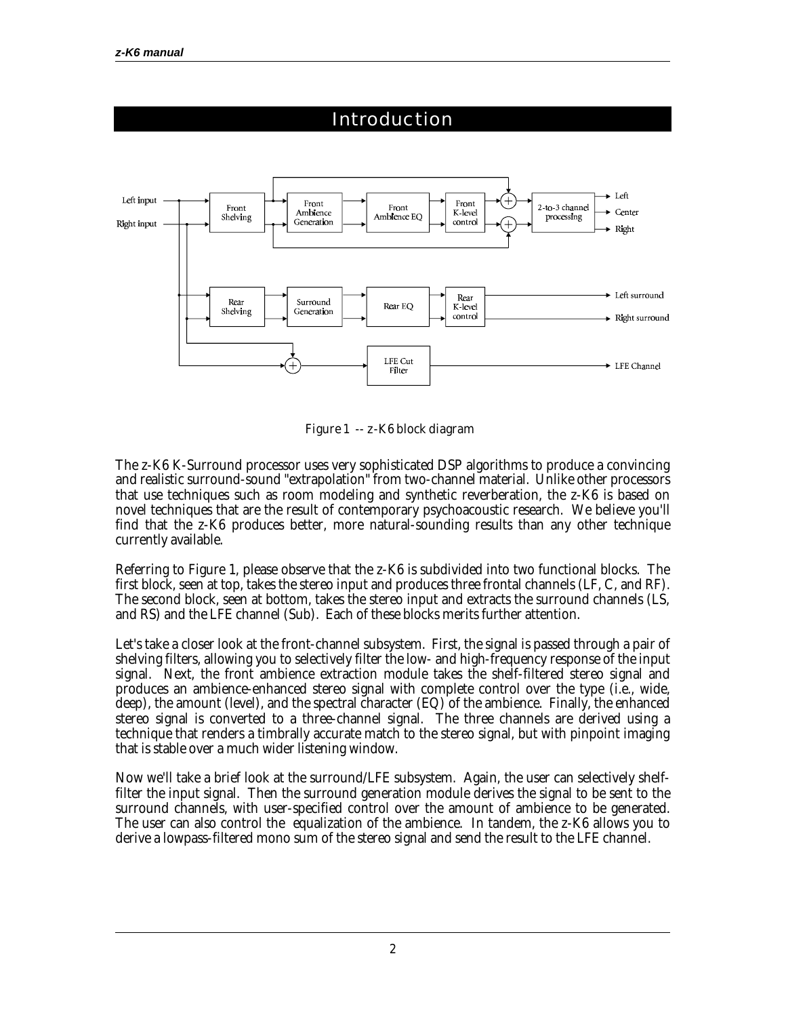

*Figure 1 -- z-K6 block diagram*

The z-K6 K-Surround processor uses very sophisticated DSP algorithms to produce a convincing and realistic surround-sound "extrapolation" from two-channel material. Unlike other processors that use techniques such as room modeling and synthetic reverberation, the z-K6 is based on novel techniques that are the result of contemporary psychoacoustic research. We believe you'll find that the z-K6 produces better, more natural-sounding results than any other technique currently available.

Referring to Figure 1, please observe that the z-K6 is subdivided into two functional blocks. The first block, seen at top, takes the stereo input and produces three frontal channels (LF, C, and RF). The second block, seen at bottom, takes the stereo input and extracts the surround channels (LS, and RS) and the LFE channel (Sub). Each of these blocks merits further attention.

Let's take a closer look at the front-channel subsystem. First, the signal is passed through a pair of shelving filters, allowing you to selectively filter the low- and high-frequency response of the input signal. Next, the front ambience extraction module takes the shelf-filtered stereo signal and produces an ambience-enhanced stereo signal with complete control over the type (i.e., wide, deep), the amount (level), and the spectral character (EQ) of the ambience. Finally, the enhanced stereo signal is converted to a three-channel signal. The three channels are derived using a technique that renders a timbrally accurate match to the stereo signal, but with pinpoint imaging that is stable over a much wider listening window.

Now we'll take a brief look at the surround/LFE subsystem. Again, the user can selectively shelffilter the input signal. Then the surround generation module derives the signal to be sent to the surround channels, with user-specified control over the amount of ambience to be generated. The user can also control the equalization of the ambience. In tandem, the z-K6 allows you to derive a lowpass-filtered mono sum of the stereo signal and send the result to the LFE channel.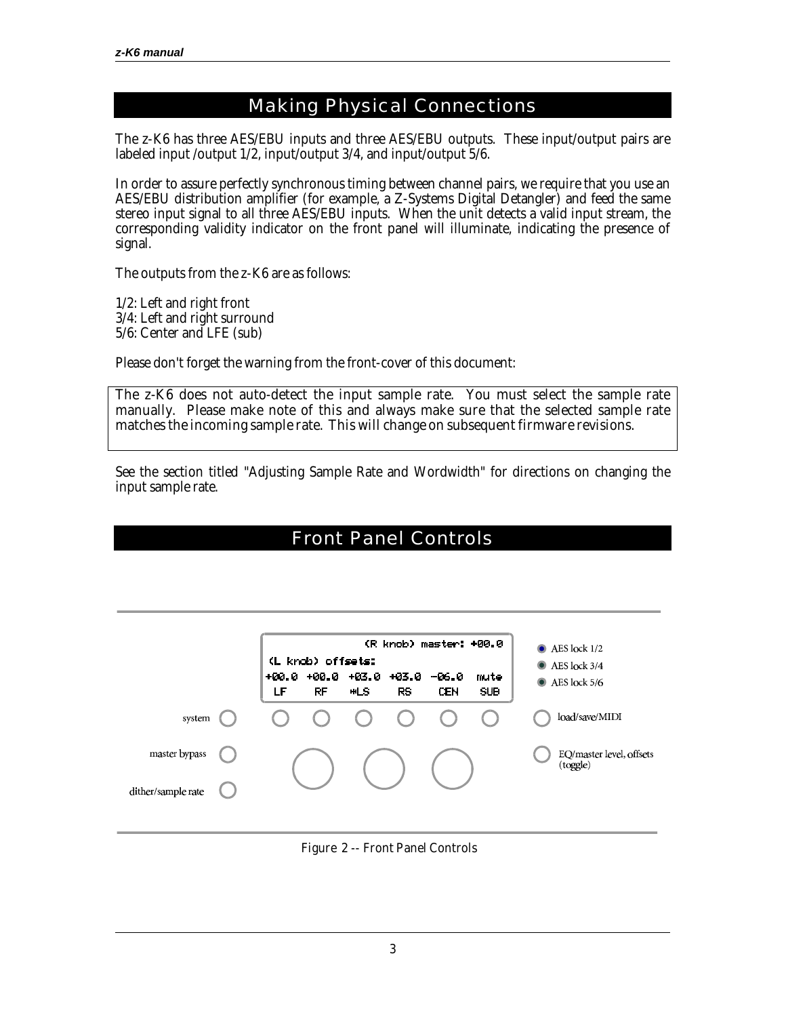#### Making Physical Connections

The z-K6 has three AES/EBU inputs and three AES/EBU outputs. These input/output pairs are labeled input /output 1/2, input/output 3/4, and input/output 5/6.

In order to assure perfectly synchronous timing between channel pairs, we require that you use an AES/EBU distribution amplifier (for example, a Z-Systems Digital Detangler) and feed the same stereo input signal to all three AES/EBU inputs. When the unit detects a valid input stream, the corresponding validity indicator on the front panel will illuminate, indicating the presence of signal.

The outputs from the z-K6 are as follows:

1/2: Left and right front 3/4: Left and right surround 5/6: Center and LFE (sub)

Please don't forget the warning from the front-cover of this document:

*The z-K6 does not auto-detect the input sample rate. You must select the sample rate manually. Please make note of this and always make sure that the selected sample rate matches the incoming sample rate. This will change on subsequent firmware revisions.*

See the section titled "Adjusting Sample Rate and Wordwidth" for directions on changing the input sample rate.

### Front Panel Controls

|                                     | CL.<br>+00.0<br>LF | knob) offsets:<br>+00.0<br>RF | +03.0<br>™LS. | +03.0<br>RS. | (R knob) master: +00.0<br>-06.0<br>CEN | mute<br><b>SUB</b> | $\bullet$ AES lock 1/2<br>$\bullet$ AES lock 3/4<br>$\bullet$ AES lock 5/6 |
|-------------------------------------|--------------------|-------------------------------|---------------|--------------|----------------------------------------|--------------------|----------------------------------------------------------------------------|
| system                              |                    |                               |               |              |                                        |                    | load/save/MIDI                                                             |
| master bypass<br>dither/sample rate |                    |                               |               |              |                                        |                    | EQ/master level, offsets<br>(toggle)                                       |

#### *Figure 2 -- Front Panel Controls*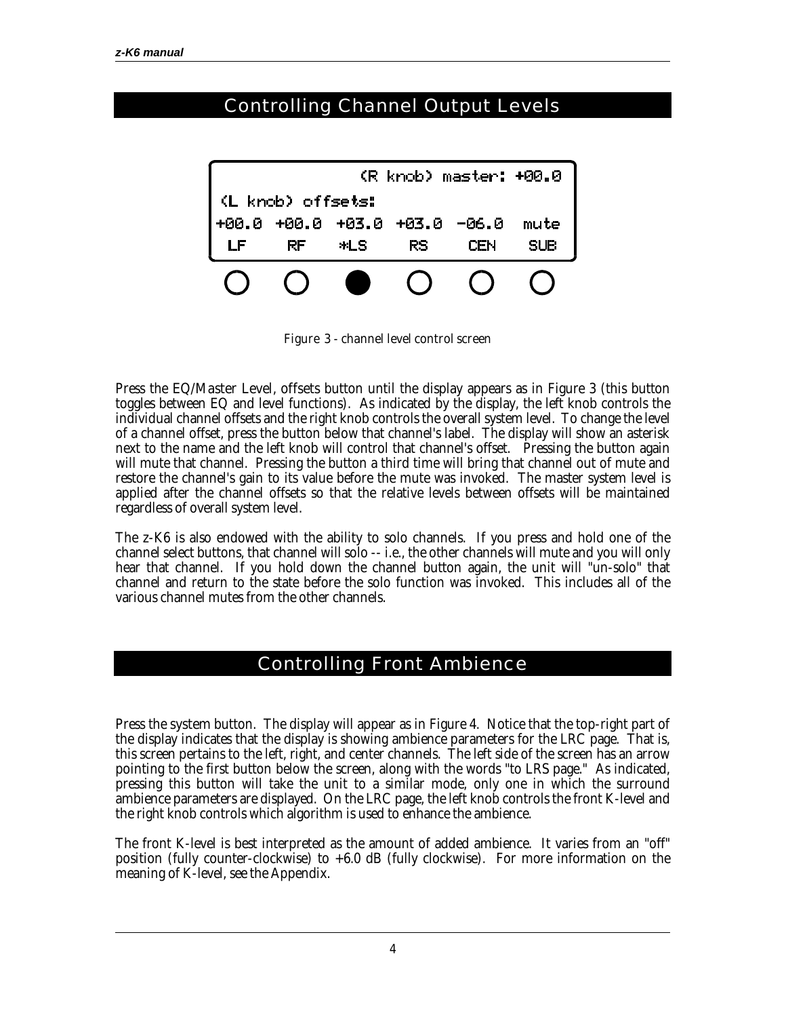### Controlling Channel Output Levels



*Figure 3 - channel level control screen*

Press the *EQ/Master Level, offsets* button until the display appears as in Figure 3 (this button toggles between EQ and level functions). As indicated by the display, the left knob controls the individual channel offsets and the right knob controls the overall system level. To change the level of a channel offset, press the button below that channel's label. The display will show an asterisk next to the name and the left knob will control that channel's offset. Pressing the button again will mute that channel. Pressing the button a third time will bring that channel out of mute and restore the channel's gain to its value before the mute was invoked. The master system level is applied after the channel offsets so that the relative levels between offsets will be maintained regardless of overall system level.

The z-K6 is also endowed with the ability to solo channels. If you press and hold one of the channel select buttons, that channel will solo -- i.e., the other channels will mute and you will only hear that channel. If you hold down the channel button again, the unit will "un-solo" that channel and return to the state before the solo function was invoked. This includes all of the various channel mutes from the other channels.

#### Controlling Front Ambience

Press the *system* button. The display will appear as in Figure 4. Notice that the top-right part of the display indicates that the display is showing ambience parameters for the LRC page. That is, this screen pertains to the left, right, and center channels. The left side of the screen has an arrow pointing to the first button below the screen, along with the words "to LRS page." As indicated, pressing this button will take the unit to a similar mode, only one in which the surround ambience parameters are displayed. On the LRC page, the left knob controls the front K-level and the right knob controls which algorithm is used to enhance the ambience.

The front K-level is best interpreted as the amount of added ambience. It varies from an "off" position (fully counter-clockwise) to +6.0 dB (fully clockwise). For more information on the meaning of K-level, see the Appendix.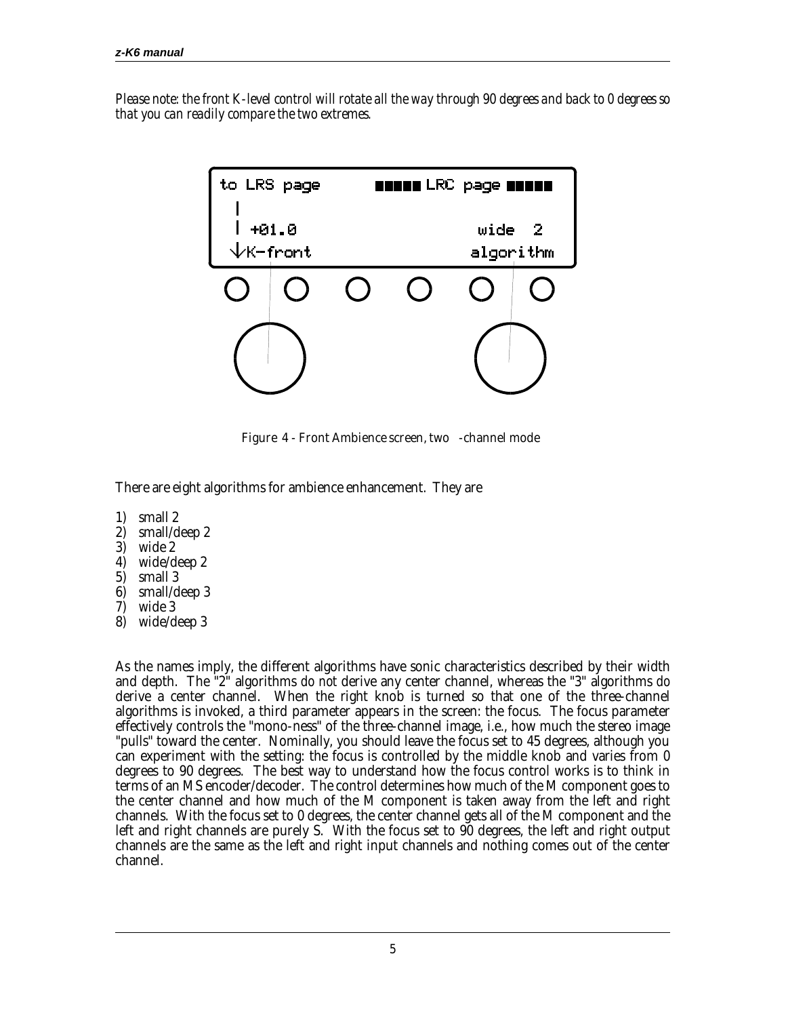*Please note: the front K-level control will rotate all the way through 90 degrees and back to 0 degrees so that you can readily compare the two extremes.*



*Figure 4 - Front Ambience screen, two -channel mode*

There are eight algorithms for ambience enhancement. They are

- 1) small 2
- 2) small/deep 2
- 3) wide 2
- 4) wide/deep 2
- 5) small 3
- 6) small/deep 3
- 7) wide 3
- 8) wide/deep 3

As the names imply, the different algorithms have sonic characteristics described by their width and depth. The "2" algorithms *do not* derive any center channel, whereas the "3" algorithms *do* derive a center channel. When the right knob is turned so that one of the three-channel algorithms is invoked, a third parameter appears in the screen: the focus. The focus parameter effectively controls the "mono-ness" of the three-channel image, i.e., how much the stereo image "pulls" toward the center. Nominally, you should leave the focus set to 45 degrees, although you can experiment with the setting: the focus is controlled by the middle knob and varies from 0 degrees to 90 degrees. The best way to understand how the focus control works is to think in terms of an MS encoder/decoder. The control determines how much of the M component goes to the center channel and how much of the M component is taken away from the left and right channels. With the focus set to 0 degrees, the center channel gets all of the M component and the left and right channels are purely S. With the focus set to 90 degrees, the left and right output channels are the same as the left and right input channels and nothing comes out of the center channel.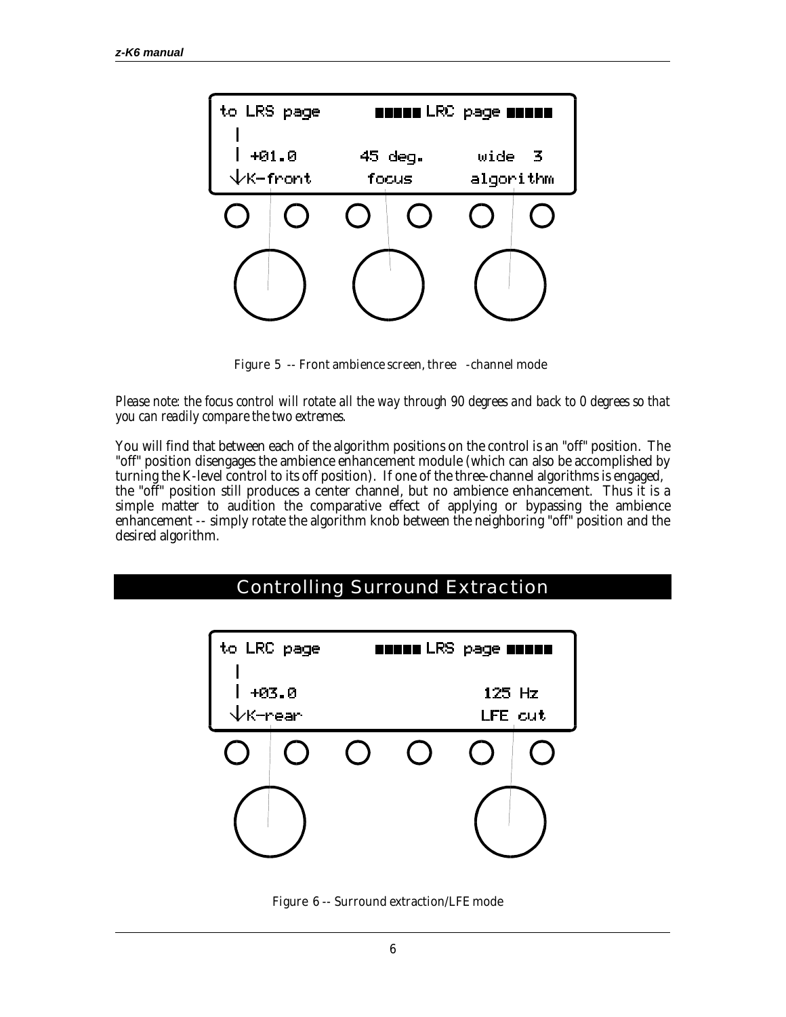

*Figure 5 -- Front ambience screen, three -channel mode*

*Please note: the focus control will rotate all the way through 90 degrees and back to 0 degrees so that you can readily compare the two extremes.*

You will find that between each of the algorithm positions on the control is an "off" position. The "off" position disengages the ambience enhancement module (which can also be accomplished by turning the K-level control to its off position). If one of the three-channel algorithms is engaged, the "off" position still produces a center channel, but no ambience enhancement. Thus it is a simple matter to audition the comparative effect of applying or bypassing the ambience enhancement -- simply rotate the algorithm knob between the neighboring "off" position and the desired algorithm.

# to LRC page **BREED LRS page BREED**  $+03.0$  $125$  Hz LFE cut K-rear

Controlling Surround Extraction

*Figure 6 -- Surround extraction/LFE mode*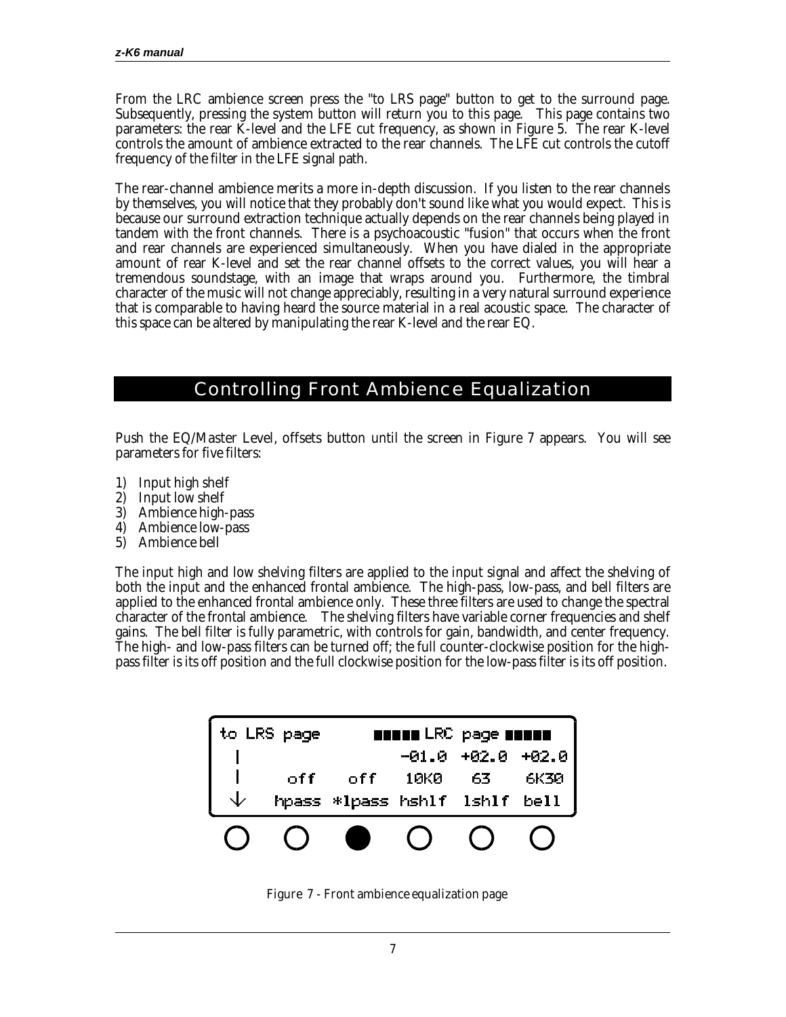From the LRC ambience screen press the "to LRS page" button to get to the surround page. Subsequently, pressing the *system* button will return you to this page. This page contains two parameters: the rear K-level and the LFE cut frequency, as shown in Figure 5. The rear K-level controls the amount of ambience extracted to the rear channels. The LFE cut controls the cutoff frequency of the filter in the LFE signal path.

The rear-channel ambience merits a more in-depth discussion. If you listen to the rear channels by themselves, you will notice that they probably don't sound like what you would expect. This is because our surround extraction technique actually depends on the rear channels being played in tandem with the front channels. There is a psychoacoustic "fusion" that occurs when the front and rear channels are experienced simultaneously. When you have dialed in the appropriate amount of rear K-level and set the rear channel offsets to the correct values, you will hear a tremendous soundstage, with an image that wraps around you. Furthermore, the timbral character of the music will not change appreciably, resulting in a very natural surround experience that is comparable to having heard the source material in a real acoustic space. The character of this space can be altered by manipulating the rear K-level and the rear EQ.

#### Controlling Front Ambience Equalization

Push the *EQ/Master Level, offsets* button until the screen in Figure 7 appears. You will see parameters for five filters:

- 1) Input high shelf
- 2) Input low shelf
- 3) Ambience high-pass
- 4) Ambience low-pass
- 5) Ambience bell

The input high and low shelving filters are applied to the input signal and affect the shelving of both the input and the enhanced frontal ambience. The high-pass, low-pass, and bell filters are applied to the enhanced frontal ambience only. These three filters are used to change the spectral character of the frontal ambience. The shelving filters have variable corner frequencies and shelf gains. The bell filter is fully parametric, with controls for gain, bandwidth, and center frequency. The high- and low-pass filters can be turned off; the full counter-clockwise position for the highpass filter is its off position and the full clockwise position for the low-pass filter is its off position.

| <b>LRS</b><br>to. | page | <b>NUMBER LRC</b> page <b>NUMB</b> |         |         |         |  |
|-------------------|------|------------------------------------|---------|---------|---------|--|
|                   |      |                                    | $-01.0$ | $+02.0$ | $+02.0$ |  |
|                   | off  | off                                | 10K0    | 63      | 6K30    |  |
|                   |      | hpass *lpass hshlf lshlf           |         |         | be11    |  |
|                   |      |                                    |         |         |         |  |

*Figure 7 - Front ambience equalization page*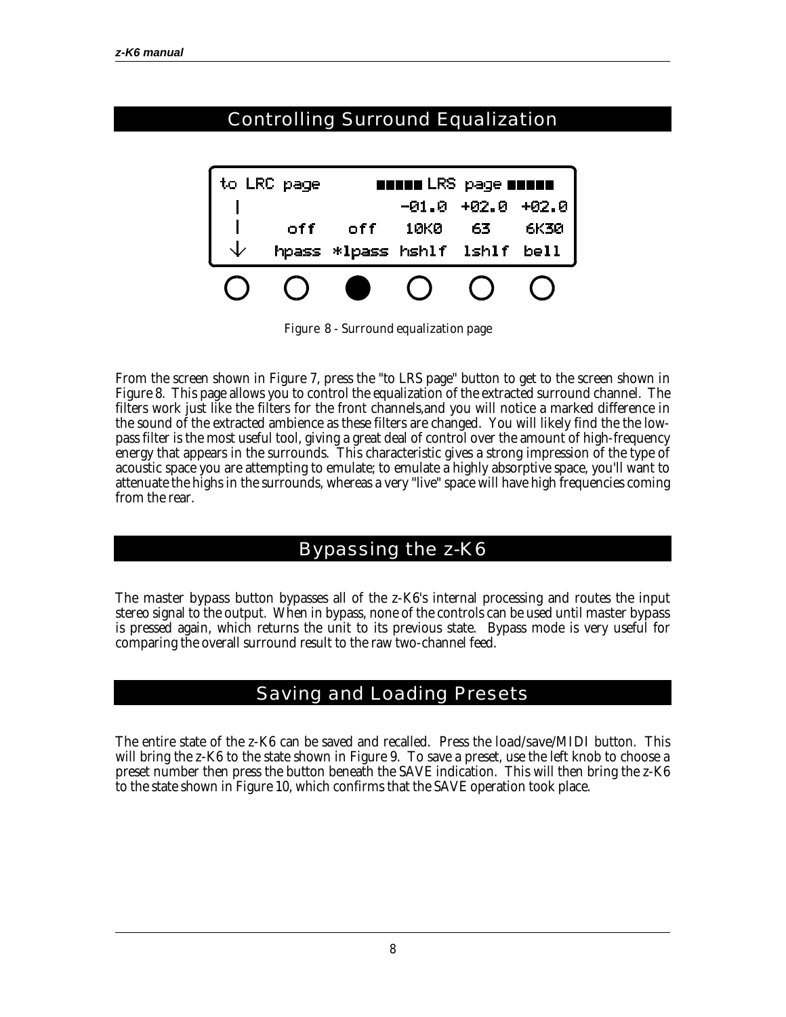## Controlling Surround Equalization



*Figure 8 - Surround equalization page*

From the screen shown in Figure 7, press the "to LRS page" button to get to the screen shown in Figure 8. This page allows you to control the equalization of the extracted surround channel. The filters work just like the filters for the front channels,and you will notice a marked difference in the sound of the extracted ambience as these filters are changed. You will likely find the the lowpass filter is the most useful tool, giving a great deal of control over the amount of high-frequency energy that appears in the surrounds. This characteristic gives a strong impression of the type of acoustic space you are attempting to emulate; to emulate a highly absorptive space, you'll want to attenuate the highs in the surrounds, whereas a very "live" space will have high frequencies coming from the rear.

#### Bypassing the z-K6

The *master bypass* button bypasses all of the z-K6's internal processing and routes the input stereo signal to the output. When in bypass, none of the controls can be used until *master bypass* is pressed again, which returns the unit to its previous state. Bypass mode is very useful for comparing the overall surround result to the raw two-channel feed.

#### Saving and Loading Presets

The entire state of the z-K6 can be saved and recalled. Press the *load/save/MIDI* button. This will bring the z-K6 to the state shown in Figure 9. To save a preset, use the left knob to choose a preset number then press the button beneath the SAVE indication. This will then bring the z-K6 to the state shown in Figure 10, which confirms that the SAVE operation took place.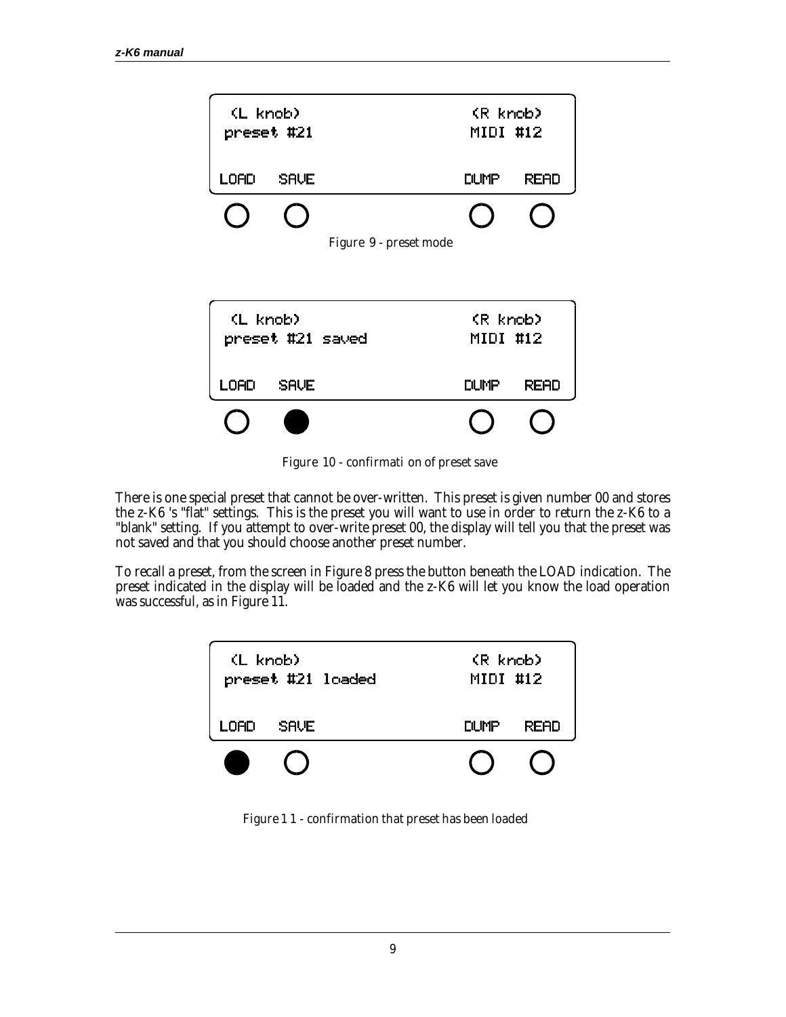

*Figure 10 - confirmati on of preset save*

There is one special preset that cannot be over-written. This preset is given number 00 and stores the z-K6 's "flat" settings. This is the preset you will want to use in order to return the z-K6 to a "blank" setting. If you attempt to over-write preset 00, the display will tell you that the preset was not saved and that you should choose another preset number.

To recall a preset, from the screen in Figure 8 press the button beneath the LOAD indication. The preset indicated in the display will be loaded and the z-K6 will let you know the load operation was successful, as in Figure 11.

| (L knob)<br>preset #21 loaded |             |  | (R knob)<br>MIDI #12 |             |  |
|-------------------------------|-------------|--|----------------------|-------------|--|
| LOAD                          | <b>SAVE</b> |  | <b>DUMP</b>          | <b>READ</b> |  |
|                               |             |  |                      |             |  |

*Figure 1 1 - confirmation that preset has been loaded*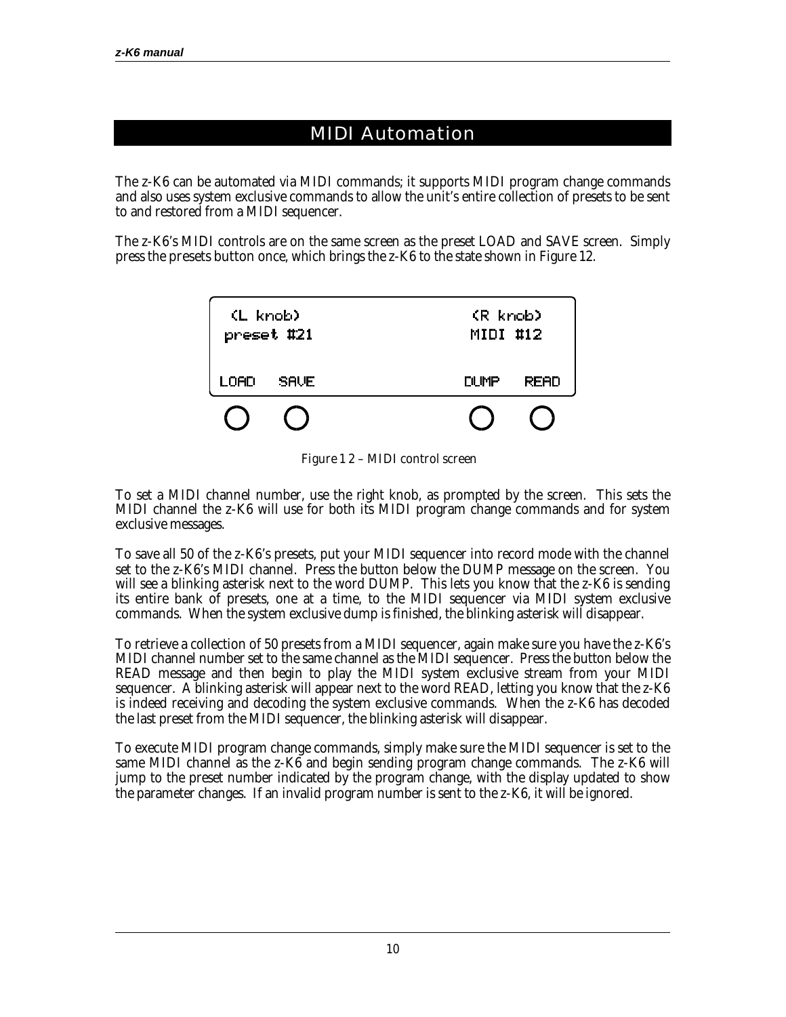#### MIDI Automation

The z-K6 can be automated via MIDI commands; it supports MIDI program change commands and also uses system exclusive commands to allow the unit's entire collection of presets to be sent to and restored from a MIDI sequencer.

The z-K6's MIDI controls are on the same screen as the preset LOAD and SAVE screen. Simply press the *presets button* once, which brings the z-K6 to the state shown in Figure 12.

| (L knob)<br>preset #21 |             | (R knob)<br>MIDI #12 |             |  |  |
|------------------------|-------------|----------------------|-------------|--|--|
| LOAD                   | <b>SAVE</b> | DUMP                 | <b>READ</b> |  |  |
|                        |             |                      |             |  |  |

*Figure 1 2 – MIDI control screen*

To set a MIDI channel number, use the right knob, as prompted by the screen. This sets the MIDI channel the z-K6 will use for both its MIDI program change commands and for system exclusive messages.

To save all 50 of the z-K6's presets, put your MIDI sequencer into record mode with the channel set to the z-K6's MIDI channel. Press the button below the DUMP message on the screen. You will see a blinking asterisk next to the word DUMP. This lets you know that the z-K6 is sending its entire bank of presets, one at a time, to the MIDI sequencer via MIDI system exclusive commands. When the system exclusive dump is finished, the blinking asterisk will disappear.

To retrieve a collection of 50 presets from a MIDI sequencer, again make sure you have the z-K6's MIDI channel number set to the same channel as the MIDI sequencer. Press the button below the READ message and then begin to play the MIDI system exclusive stream from your MIDI sequencer. A blinking asterisk will appear next to the word READ, letting you know that the z-K6 is indeed receiving and decoding the system exclusive commands. When the z-K6 has decoded the last preset from the MIDI sequencer, the blinking asterisk will disappear.

To execute MIDI program change commands, simply make sure the MIDI sequencer is set to the same MIDI channel as the z-K6 and begin sending program change commands. The z-K6 will jump to the preset number indicated by the program change, with the display updated to show the parameter changes. If an invalid program number is sent to the z-K6, it will be ignored.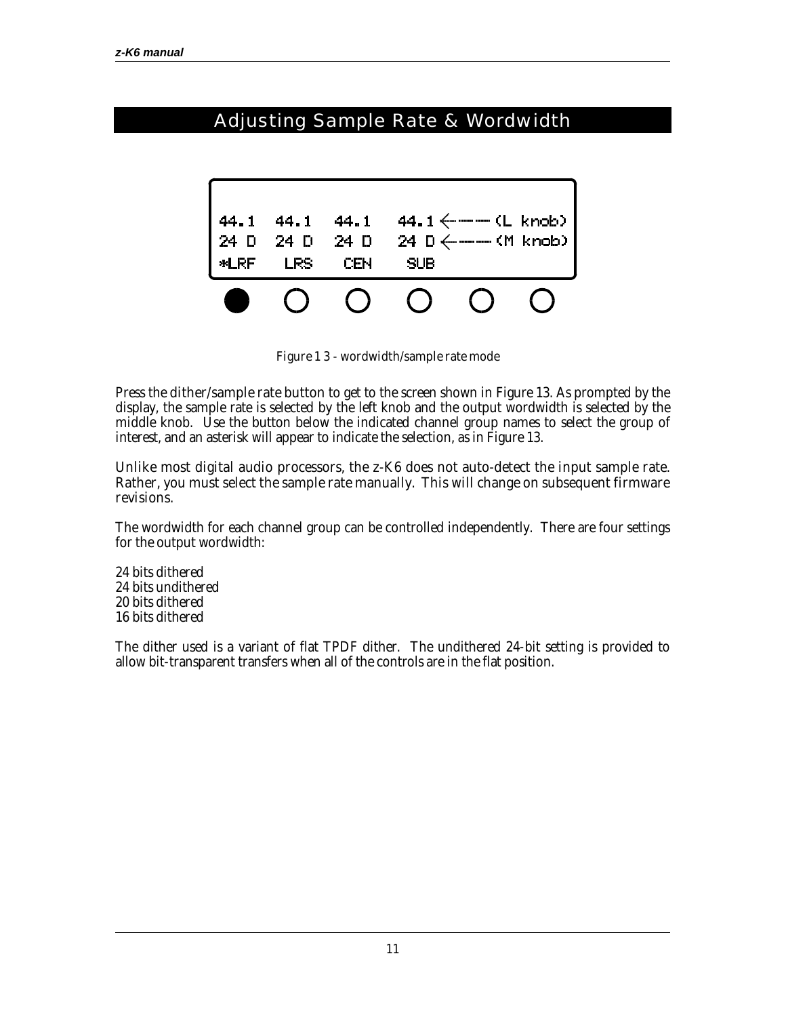## Adjusting Sample Rate & Wordwidth



*Figure 1 3 - wordwidth/sample rate mode*

Press the *dither/sample rate button* to get to the screen shown in Figure 13. As prompted by the display, the sample rate is selected by the left knob and the output wordwidth is selected by the middle knob. Use the button below the indicated channel group names to select the group of interest, and an asterisk will appear to indicate the selection, as in Figure 13.

#### *Unlike most digital audio processors, the z-K6 does not auto-detect the input sample rate. Rather, you must select the sample rate manually. This will change on subsequent firmware revisions.*

The wordwidth for each channel group can be controlled independently. There are four settings for the output wordwidth:

24 bits dithered 24 bits undithered 20 bits dithered 16 bits dithered

The dither used is a variant of flat TPDF dither. The undithered 24-bit setting is provided to allow bit-transparent transfers when all of the controls are in the flat position.